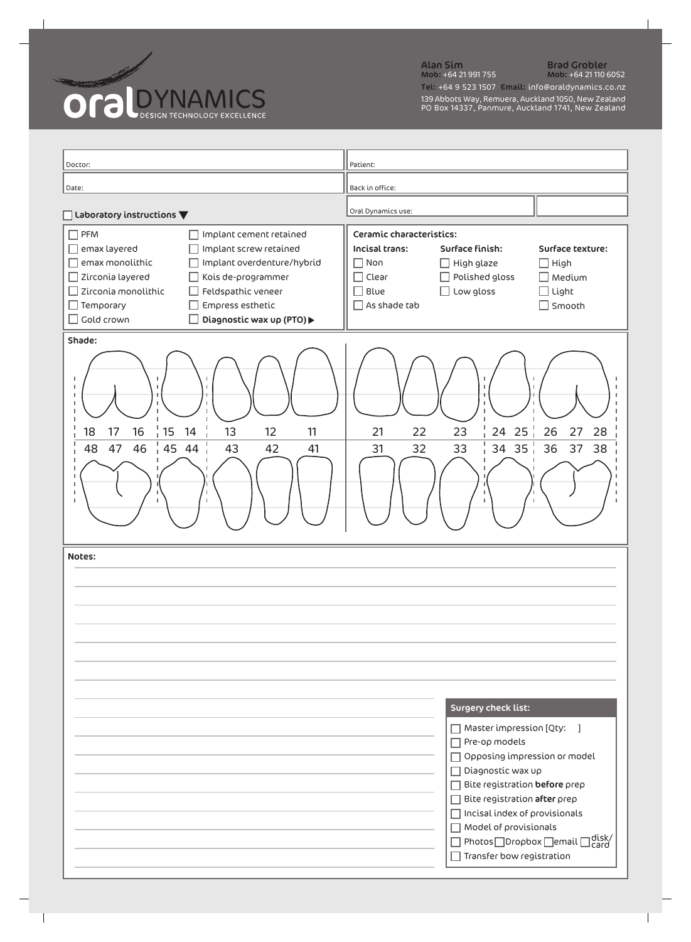

Alan Sim Brad Grobler Mob: +64 21 991 755 Mob: +64 21 110 6052 Tel: +64 9 523 1507 Email: info@oraldynamics.co.nz 139 Abbots Way, Remuera, Auckland 1050, New Zealand PO Box 14337, Panmure, Auckland 1741, New Zealand

| Doctor:                                                                                                                                                                                                                                                                                                                                                                          | Patient:                                                                                                                                                                                                                                                                                                                                                                      |
|----------------------------------------------------------------------------------------------------------------------------------------------------------------------------------------------------------------------------------------------------------------------------------------------------------------------------------------------------------------------------------|-------------------------------------------------------------------------------------------------------------------------------------------------------------------------------------------------------------------------------------------------------------------------------------------------------------------------------------------------------------------------------|
| Date:                                                                                                                                                                                                                                                                                                                                                                            | Back in office:                                                                                                                                                                                                                                                                                                                                                               |
| $\Box$ Laboratory instructions $\blacktriangledown$                                                                                                                                                                                                                                                                                                                              | Oral Dynamics use:                                                                                                                                                                                                                                                                                                                                                            |
| $\Box$ PFM<br>Implant cement retained<br>- 1<br>emax layered<br>Implant screw retained<br>$\Box$<br>emax monolithic<br>Implant overdenture/hybrid<br>□<br>$\Box$ Zirconia layered<br>Kois de-programmer<br>$\Box$<br>Zirconia monolithic<br>Feldspathic veneer<br>$\Box$<br>$\Box$ Temporary<br>Empress esthetic<br>$\Box$<br>$\Box$ Gold crown<br>Diagnostic wax up (PTO)▶<br>H | Ceramic characteristics:<br><b>Incisal trans:</b><br>Surface finish:<br>Surface texture:<br>$\Box$ High<br>Non<br>$\Box$ High glaze<br>- 1<br>Polished gloss<br>$\Box$ Medium<br>Clear<br>Blue<br>Low gloss<br>$\Box$ Light<br>As shade tab<br>$\Box$ Smooth                                                                                                                  |
| Shade:<br>п<br>$\frac{1}{1}$ 15 14<br>18<br>17<br>16<br>13<br>12<br>11<br>$\frac{1}{1}$ 45 44<br>46<br>47<br>48<br>42<br>43<br>41<br>J.<br>$\mathbf{I}$<br>L.                                                                                                                                                                                                                    | 24 25 $^{+}$<br>23<br>26<br>21<br>22<br>27<br>28<br>$34$ 35<br>36<br>37<br>38<br>32<br>33<br>31<br>$\mathbf{L}$                                                                                                                                                                                                                                                               |
| Notes:                                                                                                                                                                                                                                                                                                                                                                           | <b>Surgery check list:</b><br>Master impression [Qty:<br>$\overline{1}$<br>Pre-op models<br>Opposing impression or model<br>Diagnostic wax up<br>Bite registration before prep<br>Bite registration after prep<br>Incisal index of provisionals<br>Model of provisionals<br>]disk∕<br>] <sub>Card</sub><br>Photos □ Dropbox □ email □<br>$\sqrt{ }$ Transfer bow registration |